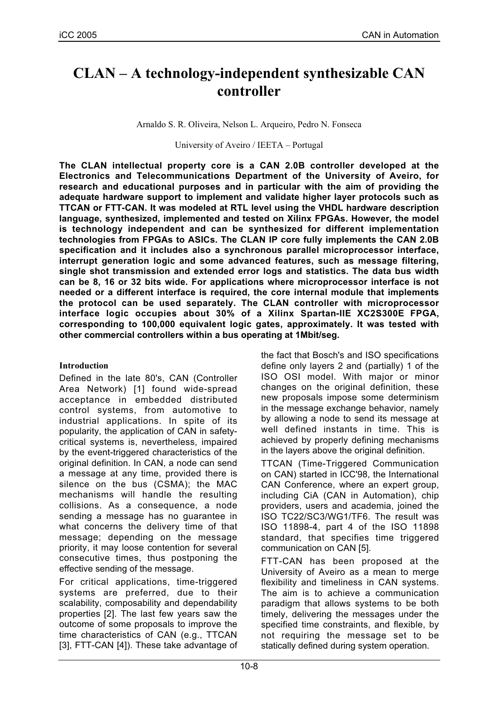# **CLAN – A technology-independent synthesizable CAN controller**

Arnaldo S. R. Oliveira, Nelson L. Arqueiro, Pedro N. Fonseca

University of Aveiro / IEETA – Portugal

**The CLAN intellectual property core is a CAN 2.0B controller developed at the Electronics and Telecommunications Department of the University of Aveiro, for research and educational purposes and in particular with the aim of providing the adequate hardware support to implement and validate higher layer protocols such as TTCAN or FTT-CAN. It was modeled at RTL level using the VHDL hardware description language, synthesized, implemented and tested on Xilinx FPGAs. However, the model is technology independent and can be synthesized for different implementation technologies from FPGAs to ASICs. The CLAN IP core fully implements the CAN 2.0B specification and it includes also a synchronous parallel microprocessor interface, interrupt generation logic and some advanced features, such as message filtering, single shot transmission and extended error logs and statistics. The data bus width can be 8, 16 or 32 bits wide. For applications where microprocessor interface is not needed or a different interface is required, the core internal module that implements the protocol can be used separately. The CLAN controller with microprocessor interface logic occupies about 30% of a Xilinx Spartan-IIE XC2S300E FPGA, corresponding to 100,000 equivalent logic gates, approximately. It was tested with other commercial controllers within a bus operating at 1Mbit/seg.**

# **Introduction**

Defined in the late 80's, CAN (Controller Area Network) [1] found wide-spread acceptance in embedded distributed control systems, from automotive to industrial applications. In spite of its popularity, the application of CAN in safetycritical systems is, nevertheless, impaired by the event-triggered characteristics of the original definition. In CAN, a node can send a message at any time, provided there is silence on the bus (CSMA); the MAC mechanisms will handle the resulting collisions. As a consequence, a node sending a message has no guarantee in what concerns the delivery time of that message; depending on the message priority, it may loose contention for several consecutive times, thus postponing the effective sending of the message.

For critical applications, time-triggered systems are preferred, due to their scalability, composability and dependability properties [2]. The last few years saw the outcome of some proposals to improve the time characteristics of CAN (e.g., TTCAN [3], FTT-CAN [4]). These take advantage of the fact that Bosch's and ISO specifications define only layers 2 and (partially) 1 of the ISO OSI model. With major or minor changes on the original definition, these new proposals impose some determinism in the message exchange behavior, namely by allowing a node to send its message at well defined instants in time. This is achieved by properly defining mechanisms in the layers above the original definition.

TTCAN (Time-Triggered Communication on CAN) started in ICC'98, the International CAN Conference, where an expert group, including CiA (CAN in Automation), chip providers, users and academia, joined the ISO TC22/SC3/WG1/TF6. The result was ISO 11898-4, part 4 of the ISO 11898 standard, that specifies time triggered communication on CAN [5].

FTT-CAN has been proposed at the University of Aveiro as a mean to merge flexibility and timeliness in CAN systems. The aim is to achieve a communication paradigm that allows systems to be both timely, delivering the messages under the specified time constraints, and flexible, by not requiring the message set to be statically defined during system operation.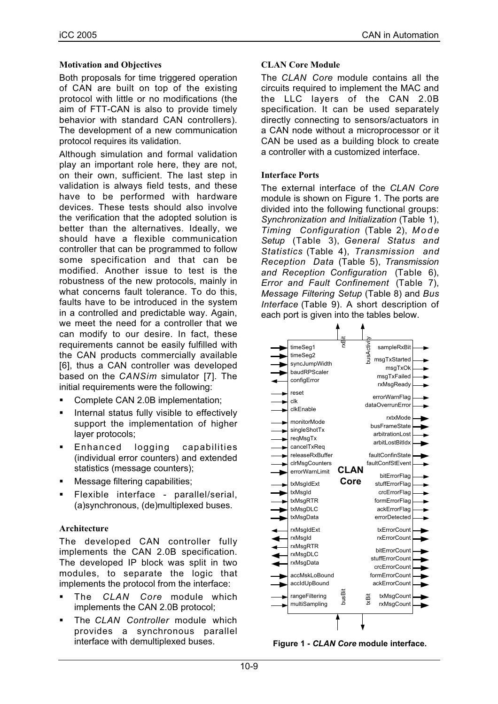## **Motivation and Objectives**

Both proposals for time triggered operation of CAN are built on top of the existing protocol with little or no modifications (the aim of FTT-CAN is also to provide timely behavior with standard CAN controllers). The development of a new communication protocol requires its validation.

Although simulation and formal validation play an important role here, they are not, on their own, sufficient. The last step in validation is always field tests, and these have to be performed with hardware devices. These tests should also involve the verification that the adopted solution is better than the alternatives. Ideally, we should have a flexible communication controller that can be programmed to follow some specification and that can be modified. Another issue to test is the robustness of the new protocols, mainly in what concerns fault tolerance. To do this, faults have to be introduced in the system in a controlled and predictable way. Again, we meet the need for a controller that we can modify to our desire. In fact, these requirements cannot be easily fulfilled with the CAN products commercially available [6], thus a CAN controller was developed based on the *CANSim* simulator [7]. The initial requirements were the following:

- Complete CAN 2.0B implementation;
- Internal status fully visible to effectively support the implementation of higher layer protocols;
- Enhanced logging capabilities (individual error counters) and extended statistics (message counters);
- Message filtering capabilities;
- Flexible interface parallel/serial, (a)synchronous, (de)multiplexed buses.

# **Architecture**

The developed CAN controller fully implements the CAN 2.0B specification. The developed IP block was split in two modules, to separate the logic that implements the protocol from the interface:

- The *CLAN Core* module which implements the CAN 2.0B protocol;
- The *CLAN Controller* module which provides a synchronous parallel interface with demultiplexed buses.

# **CLAN Core Module**

The *CLAN Core* module contains all the circuits required to implement the MAC and the LLC layers of the CAN 2.0B specification. It can be used separately directly connecting to sensors/actuators in a CAN node without a microprocessor or it CAN be used as a building block to create a controller with a customized interface.

# **Interface Ports**

The external interface of the *CLAN Core* module is shown on Figure 1. The ports are divided into the following functional groups: *Synchronization and Initialization* (Table 1), *Timing Configuration* (Table 2), *Mode Setup* (Table 3), *General Status and Statistics* (Table 4), *Transmission and Reception Data* (Table 5), *Transmission and Reception Configuration* (Table 6), *Error and Fault Confinement* (Table 7), *Message Filtering Setup* (Table 8) and *Bus Interface* (Table 9). A short description of each port is given into the tables below.



**Figure 1 -** *CLAN Core* **module interface.**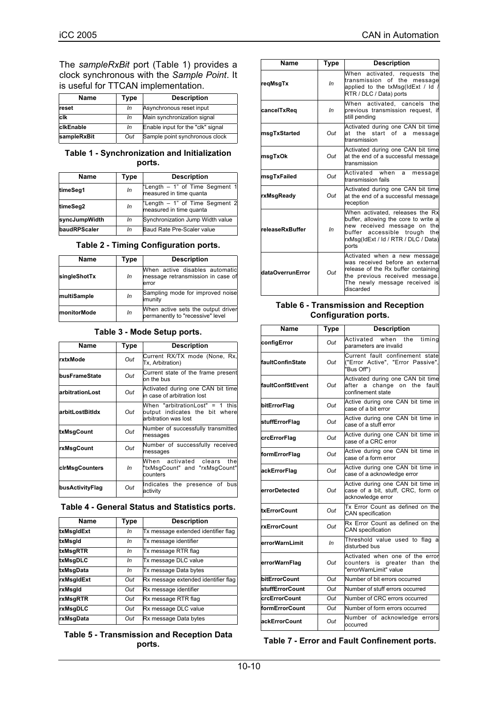The *sampleRxBit* port (Table 1) provides a clock synchronous with the *Sample Point*. It is useful for TTCAN implementation.

| Name             | Type | <b>Description</b>                |
|------------------|------|-----------------------------------|
| reset            | In   | Asynchronous reset input          |
| clk              | In   | Main synchronization signal       |
| <b>clkEnable</b> | In   | Enable input for the "clk" signal |
| sampleRxBit      | Out  | Sample point synchronous clock    |

#### **Table 1 - Synchronization and Initialization ports.**

| Name          | Type | <b>Description</b>                                        |
|---------------|------|-----------------------------------------------------------|
| timeSeg1      | In   | "Length - 1" of Time Segment 1<br>measured in time quanta |
| timeSeg2      | In   | "Length - 1" of Time Segment 2<br>measured in time quanta |
| syncJumpWidth | In   | Synchronization Jump Width value                          |
| baudRPScaler  | In   | Baud Rate Pre-Scaler value                                |

|  |  | Table 2 - Timing Configuration ports. |  |
|--|--|---------------------------------------|--|
|--|--|---------------------------------------|--|

| <b>Name</b>  | Type | <b>Description</b>                                                           |
|--------------|------|------------------------------------------------------------------------------|
| singleShotTx | In   | When active disables automatic<br>message retransmission in case of<br>error |
| multiSample  | In   | Sampling mode for improved noise<br>imunity                                  |
| monitorMode  | In   | When active sets the output driver<br>permanently to "recessive" level       |

#### **Table 3 - Mode Setup ports.**

| Name            | <b>Type</b> | <b>Description</b>                                                                        |
|-----------------|-------------|-------------------------------------------------------------------------------------------|
| rxtxMode        | Out         | Current RX/TX mode (None, Rx,<br>Tx, Arbitration)                                         |
| busFrameState   | Out         | Current state of the frame present<br>on the bus                                          |
| arbitrationLost | Out         | Activated during one CAN bit time<br>in case of arbitration lost                          |
| arbitLostBitIdx | Out         | When "arbitrationLost" = 1 this<br>output indicates the bit where<br>arbitration was lost |
| txMsgCount      | Out         | Number of successfully transmitted<br>messages                                            |
| rxMsgCount      | Out         | Number of successfully received<br>messages                                               |
| cirMsgCounters  | In          | When activated clears<br>the<br>"txMsgCount" and "rxMsgCount"<br>counters                 |
| busActivityFlag | Out         | Indicates the presence of<br>bus<br>activity                                              |

#### **Table 4 - General Status and Statistics ports.**

| <b>Name</b> | Type | <b>Description</b>                  |
|-------------|------|-------------------------------------|
| txMsgIdExt  | In   | Tx message extended identifier flag |
| txMsgld     | In   | Tx message identifier               |
| txMsgRTR    | In   | Tx message RTR flag                 |
| txMsgDLC    | In   | Tx message DLC value                |
| txMsgData   | In   | Tx message Data bytes               |
| rxMsgldExt  | Out  | Rx message extended identifier flag |
| rxMsgld     | Out  | Rx message identifier               |
| rxMsgRTR    | Out  | Rx message RTR flag                 |
| rxMsgDLC    | Out  | Rx message DLC value                |
| rxMsgData   | Out  | Rx message Data bytes               |

#### **Table 5 - Transmission and Reception Data ports.**

| <b>Name</b>            | Type | <b>Description</b>                                                                                                                                                                         |
|------------------------|------|--------------------------------------------------------------------------------------------------------------------------------------------------------------------------------------------|
| regMsgTx               | ln   | When activated, requests the<br>transmission of the message<br>applied to the txMsg(IdExt / Id /<br>RTR / DLC / Data) ports                                                                |
| cancelTxReq            | In   | When activated, cancels the<br>previous transmission request, if<br>still pending                                                                                                          |
| msgTxStarted           | Out  | Activated during one CAN bit time<br>at the start of a message<br>transmission                                                                                                             |
| msgTxOk                | Out  | Activated during one CAN bit time<br>at the end of a successful message<br>transmission                                                                                                    |
| msgTxFailed            | Out  | Activated when<br>a<br>message<br>transmission fails                                                                                                                                       |
| rxMsgReady             | Out  | Activated during one CAN bit time<br>at the end of a successful message<br>reception                                                                                                       |
| <b>releaseRxBuffer</b> | ln   | When activated, releases the Rx<br>buffer, allowing the core to write a<br>new received message on the<br>buffer accessible trough<br>the<br>rxMsq(IdExt / Id / RTR / DLC / Data)<br>ports |
| dataOverrunError       | Out  | Activated when a new message<br>was received before an external<br>release of the Rx buffer containing<br>the previous received message.<br>The newly message received is<br>discarded     |

#### **Table 6 - Transmission and Reception Configuration ports.**

| Name                    | <b>Type</b> | <b>Description</b>                                                                           |
|-------------------------|-------------|----------------------------------------------------------------------------------------------|
| configError             | Out         | Activated<br>when<br>the<br>timina<br>parameters are invalid                                 |
| faultConfinState        | Out         | Current fault confinement state<br>("Error Active", "Error Passive",<br>"Bus Off")           |
| <b>faultConfStEvent</b> | Out         | Activated during one CAN bit time<br>after a change on the fault<br>confinement state        |
| bitErrorFlag            | Out         | Active during one CAN bit time in<br>case of a bit error                                     |
| stuffErrorFlag          | Out         | Active during one CAN bit time in<br>case of a stuff error                                   |
| crcErrorFlag            | Out         | Active during one CAN bit time in<br>case of a CRC error                                     |
| formErrorFlag           | Out         | Active during one CAN bit time in<br>case of a form error                                    |
| ackErrorFlag            | Out         | Active during one CAN bit time in<br>case of a acknowledge error                             |
| errorDetected           | Out         | Active during one CAN bit time in<br>case of a bit, stuff, CRC, form or<br>acknowledge error |
| txErrorCount            | Out         | Tx Error Count as defined on the<br>CAN specification                                        |
| rxErrorCount            | Out         | Rx Error Count as defined on the<br><b>CAN</b> specification                                 |
| errorWarnLimit          | In          | Threshold value used to flag a<br>disturbed bus                                              |
| errorWarnFlag           | Out         | Activated when one of the error<br>counters is greater than<br>the<br>"errorWarnLimit" value |
| bitErrorCount           | Out         | Number of bit errors occurred                                                                |
| stuffErrorCount         | Out         | Number of stuff errors occurred                                                              |
| <b>crcErrorCount</b>    | Out         | Number of CRC errors occurred                                                                |
| formErrorCount          | Out         | Number of form errors occurred                                                               |
| ackErrorCount           | Out         | Number of acknowledge errors<br>occurred                                                     |

**Table 7 - Error and Fault Confinement ports.**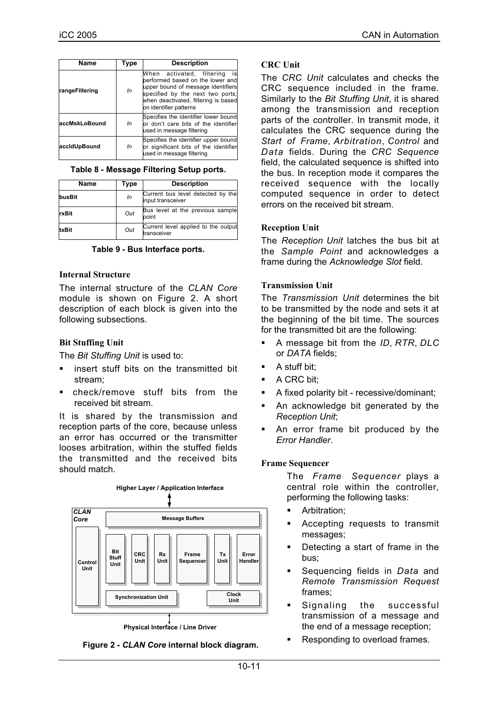| <b>Name</b>    | Type | <b>Description</b>                                                                                                                                                                                              |
|----------------|------|-----------------------------------------------------------------------------------------------------------------------------------------------------------------------------------------------------------------|
| rangeFiltering | In   | When activated, filtering<br>is<br>performed based on the lower and<br>upper bound of message identifiers<br>specified by the next two ports;<br>when deactivated, filtering is based<br>on identifier patterns |
| accMskLoBound  | In   | Specifies the identifier lower bound<br>or don't care bits of the identifier<br>used in message filtering                                                                                                       |
| accidUpBound   | In   | Specifies the identifier upper bound<br>or significant bits of the identifier<br>used in message filtering                                                                                                      |

#### **Table 8 - Message Filtering Setup ports.**

| <b>Name</b> | Type | <b>Description</b>                                     |
|-------------|------|--------------------------------------------------------|
| busBit      | In   | Current bus level detected by the<br>input transceiver |
| rxBit       | Out  | Bus level at the previous sample<br>point              |
| txBit       | Out  | Current level applied to the output<br>transceiver     |

#### **Table 9 - Bus Interface ports.**

#### **Internal Structure**

The internal structure of the *CLAN Core* module is shown on Figure 2. A short description of each block is given into the following subsections.

## **Bit Stuffing Unit**

The *Bit Stuffing Unit* is used to:

- insert stuff bits on the transmitted bit stream;
- check/remove stuff bits from the received bit stream.

It is shared by the transmission and reception parts of the core, because unless an error has occurred or the transmitter looses arbitration, within the stuffed fields the transmitted and the received bits should match.



**Figure 2 -** *CLAN Core* **internal block diagram.**

## **CRC Unit**

The *CRC Unit* calculates and checks the CRC sequence included in the frame. Similarly to the *Bit Stuffing Unit*, it is shared among the transmission and reception parts of the controller. In transmit mode, it calculates the CRC sequence during the *Start of Frame*, *Arbitration*, *Control* and *Data* fields. During the *CRC Sequence* field, the calculated sequence is shifted into the bus. In reception mode it compares the received sequence with the locally computed sequence in order to detect errors on the received bit stream.

## **Reception Unit**

The *Reception Unit* latches the bus bit at the *Sample Point* and acknowledges a frame during the *Acknowledge Slot* field.

## **Transmission Unit**

The *Transmission Unit* determines the bit to be transmitted by the node and sets it at the beginning of the bit time. The sources for the transmitted bit are the following:

- A message bit from the *ID*, *RTR*, *DLC* or *DATA* fields;
- A stuff bit;
- A CRC bit;
- A fixed polarity bit recessive/dominant;
- An acknowledge bit generated by the *Reception Unit*;
- An error frame bit produced by the *Error Handler*.

#### **Frame Sequencer**

The *Frame Sequencer* plays a central role within the controller, performing the following tasks:

- Arbitration;
- Accepting requests to transmit messages;
- Detecting a start of frame in the bus;
- Sequencing fields in *Data* and *Remote Transmission Request* frames;
- **Signaling the successful** transmission of a message and the end of a message reception;
- Responding to overload frames.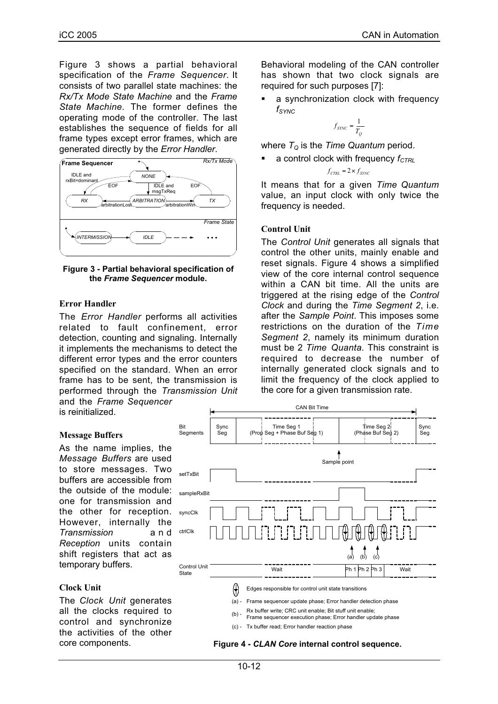Figure 3 shows a partial behavioral specification of the *Frame Sequencer*. It consists of two parallel state machines: the *Rx/Tx Mode State Machine* and the *Frame State Machine*. The former defines the operating mode of the controller. The last establishes the sequence of fields for all frame types except error frames, which are generated directly by the *Error Handler*.



**Figure 3 - Partial behavioral specification of the** *Frame Sequencer* **module.**

#### **Error Handler**

The *Error Handler* performs all activities related to fault confinement, error detection, counting and signaling. Internally it implements the mechanisms to detect the different error types and the error counters specified on the standard. When an error frame has to be sent, the transmission is performed through the *Transmission Unit* and the *Frame Sequencer* is reinitialized.

#### **Message Buffers**

As the name implies, the *Message Buffers* are used to store messages. Two buffers are accessible from the outside of the module: one for transmission and the other for reception. However, internally the *Transmission* and *Reception* units contain shift registers that act as temporary buffers.

#### **Clock Unit**

The *Clock Unit* generates all the clocks required to control and synchronize the activities of the other core components.

Behavioral modeling of the CAN controller has shown that two clock signals are required for such purposes [7]:

 a synchronization clock with frequency *fSYNC*

$$
f_{\text{SYNC}} = \frac{1}{T_Q}
$$

where  $T_{\text{o}}$  is the *Time Quantum* period.

a control clock with frequency  $f_{CTRL}$ 

$$
f_{\text{CTRL}} = 2 \times f_{\text{STNC}}
$$

It means that for a given *Time Quantum* value, an input clock with only twice the frequency is needed.

## **Control Unit**

The *Control Unit* generates all signals that control the other units, mainly enable and reset signals. Figure 4 shows a simplified view of the core internal control sequence within a CAN bit time. All the units are triggered at the rising edge of the *Control Clock* and during the *Time Segment 2*, i.e. after the *Sample Point*. This imposes some restrictions on the duration of the *Time Segment 2*, namely its minimum duration must be 2 *Time Quanta*. This constraint is required to decrease the number of internally generated clock signals and to limit the frequency of the clock applied to the core for a given transmission rate.

![](_page_4_Figure_20.jpeg)

**Figure 4 -** *CLAN Core* **internal control sequence.**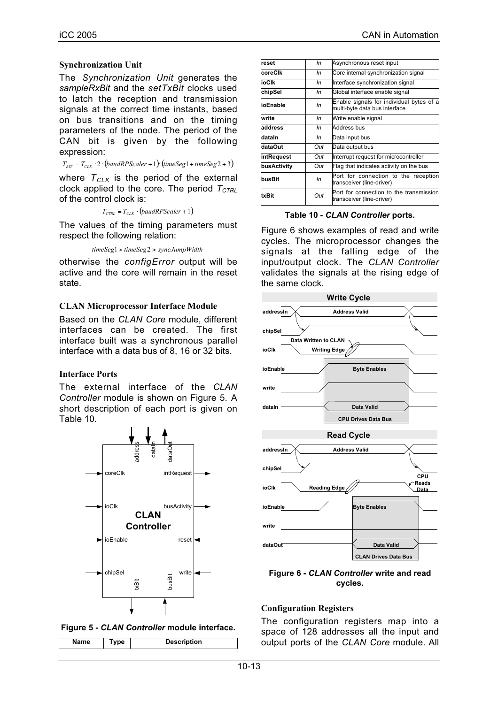## **Synchronization Unit**

The *Synchronization Unit* generates the *sampleRxBit* and the *setTxBit* clocks used to latch the reception and transmission signals at the correct time instants, based on bus transitions and on the timing parameters of the node. The period of the CAN bit is given by the following expression:

 $T_{\scriptscriptstyle BIT} = T_{\scriptscriptstyle CLK} \cdot 2 \cdot \left( \textit{baudRPScalar} + 1 \right) \cdot \left( \textit{timeSeg1} + \textit{timeSeg2} + 3 \right)$ 

where  $T_{CLK}$  is the period of the external clock applied to the core. The period  $T_{CTRI}$ of the control clock is:

 $T_{\text{CTRL}} = T_{\text{CLK}} \cdot ($ baudRPScaler + 1)

The values of the timing parameters must respect the following relation:

*timeSeg*1 > *timeSeg*2 > *syncJumpWidth*

otherwise the *configError* output will be active and the core will remain in the reset state.

## **CLAN Microprocessor Interface Module**

Based on the *CLAN Core* module, different interfaces can be created. The first interface built was a synchronous parallel interface with a data bus of 8, 16 or 32 bits.

## **Interface Ports**

The external interface of the *CLAN Controller* module is shown on Figure 5. A short description of each port is given on Table 10.

![](_page_5_Figure_14.jpeg)

![](_page_5_Figure_15.jpeg)

| Name<br>vne | <b>Description</b> |
|-------------|--------------------|
|-------------|--------------------|

| In  | Asynchronous reset input                                                  |
|-----|---------------------------------------------------------------------------|
| In  | Core internal synchronization signal                                      |
| In  | Interface synchronization signal                                          |
| In  | Global interface enable signal                                            |
| In  | Enable signals for individual bytes of a<br>multi-byte data bus interface |
| In  | Write enable signal                                                       |
| In  | Address bus                                                               |
| In  | Data input bus                                                            |
| Out | Data output bus                                                           |
| Out | Interrupt request for microcontroller                                     |
| Out | Flag that indicates activity on the bus                                   |
| In  | Port for connection to the reception<br>transceiver (line-driver)         |
| Out | Port for connection to the transmission<br>transceiver (line-driver)      |
|     |                                                                           |

**Table 10 -** *CLAN Controller* **ports.**

Figure 6 shows examples of read and write cycles. The microprocessor changes the signals at the falling edge of the input/output clock. The *CLAN Controller* validates the signals at the rising edge of the same clock.

![](_page_5_Figure_20.jpeg)

**Figure 6 -** *CLAN Controller* **write and read cycles.**

## **Configuration Registers**

The configuration registers map into a space of 128 addresses all the input and output ports of the *CLAN Core* module. All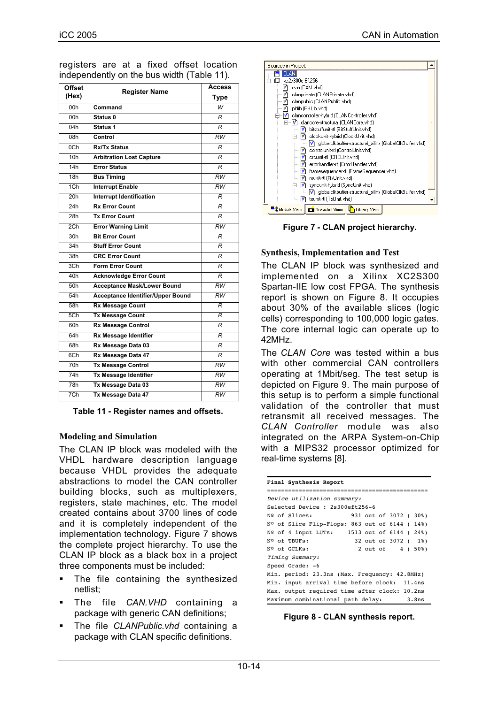| <b>Offset</b><br>(Hex) | <b>Register Name</b>                     | Access<br>Type  |
|------------------------|------------------------------------------|-----------------|
| 00h                    | Command                                  | $\overline{W}$  |
| 00h                    | Status 0                                 | R               |
| 04h                    | Status 1                                 | R               |
| 08h                    | Control                                  | RW              |
| 0 <sub>Ch</sub>        | <b>Rx/Tx Status</b>                      | R               |
| 10 <sub>h</sub>        | <b>Arbitration Lost Capture</b>          | R               |
| 14h                    | <b>Error Status</b>                      | R               |
| 18h                    | <b>Bus Timing</b>                        | <b>RW</b>       |
| 1C <sub>h</sub>        | <b>Interrupt Enable</b>                  | $\overline{RW}$ |
| 20h                    | <b>Interrupt Identification</b>          | R               |
| 24h                    | <b>Rx Error Count</b>                    | R               |
| 28h                    | <b>Tx Error Count</b>                    | R               |
| 2Ch                    | <b>Error Warning Limit</b>               | RW              |
| 30h                    | <b>Bit Error Count</b>                   | R               |
| 34h                    | <b>Stuff Error Count</b>                 | R               |
| 38h                    | <b>CRC Error Count</b>                   | R               |
| 3Ch                    | <b>Form Error Count</b>                  | R               |
| 40h                    | <b>Acknowledge Error Count</b>           | R               |
| 50 <sub>h</sub>        | <b>Acceptance Mask/Lower Bound</b>       | RW              |
| 54h                    | <b>Acceptance Identifier/Upper Bound</b> | $\overline{RW}$ |
| 58h                    | <b>Rx Message Count</b>                  | R               |
| 5 <sub>Ch</sub>        | <b>Tx Message Count</b>                  | R               |
| 60h                    | Rx Message Control                       | R               |
| 64h                    | Rx Message Identifier                    | R               |
| 68h                    | Rx Message Data 03                       | R               |
| 6Ch                    | Rx Message Data 47                       | R               |
| 70 <sub>h</sub>        | <b>Tx Message Control</b>                | RW              |
| 74h                    | <b>Tx Message Identifier</b>             | $\overline{RW}$ |
| 78h                    | Tx Message Data 03                       | RW              |
| 7Ch                    | Tx Message Data 47                       | RW              |

registers are at a fixed offset location independently on the bus width (Table 11).

**Table 11 - Register names and offsets.**

## **Modeling and Simulation**

The CLAN IP block was modeled with the VHDL hardware description language because VHDL provides the adequate abstractions to model the CAN controller building blocks, such as multiplexers, registers, state machines, etc. The model created contains about 3700 lines of code and it is completely independent of the implementation technology. Figure 7 shows the complete project hierarchy. To use the CLAN IP block as a black box in a project three components must be included:

- **The file containing the synthesized** netlist;
- The file *CAN.VHD* containing a package with generic CAN definitions;
- The file *CLANPublic.vhd* containing a package with CLAN specific definitions.

![](_page_6_Figure_10.jpeg)

**Figure 7 - CLAN project hierarchy.**

## **Synthesis, Implementation and Test**

The CLAN IP block was synthesized and implemented on a Xilinx XC2S300 Spartan-IIE low cost FPGA. The synthesis report is shown on Figure 8. It occupies about 30% of the available slices (logic cells) corresponding to 100,000 logic gates. The core internal logic can operate up to 42MHz.

The *CLAN Core* was tested within a bus with other commercial CAN controllers operating at 1Mbit/seg. The test setup is depicted on Figure 9. The main purpose of this setup is to perform a simple functional validation of the controller that must retransmit all received messages. The *CLAN Controller* module was also integrated on the ARPA System-on-Chip with a MIPS32 processor optimized for real-time systems [8].

| Final Synthesis Report                        |  |  |  |
|-----------------------------------------------|--|--|--|
|                                               |  |  |  |
| Device utilization summary:                   |  |  |  |
| Selected Device: 2s300eft256-6                |  |  |  |
| Nº of Slices:<br>931 out of 3072 (30%)        |  |  |  |
| Nº of Slice Flip-Flops: 863 out of 6144 (14%) |  |  |  |
| Nº of 4 input LUTs: 1513 out of 6144 (24%)    |  |  |  |
| 32 out of 3072 (1%)<br>Nº of TBUFs:           |  |  |  |
| 2 out of 4 (50%)<br>Nº of GCLKs:              |  |  |  |
| Timing Summary:                               |  |  |  |
| Speed Grade: -6                               |  |  |  |
| Min. period: 23.3ns (Max. Frequency: 42.8MHz) |  |  |  |
| Min. input arrival time before clock: 11.4ns  |  |  |  |
| Max. output required time after clock: 10.2ns |  |  |  |
| Maximum combinational path delay: 3.8ns       |  |  |  |

**Figure 8 - CLAN synthesis report.**